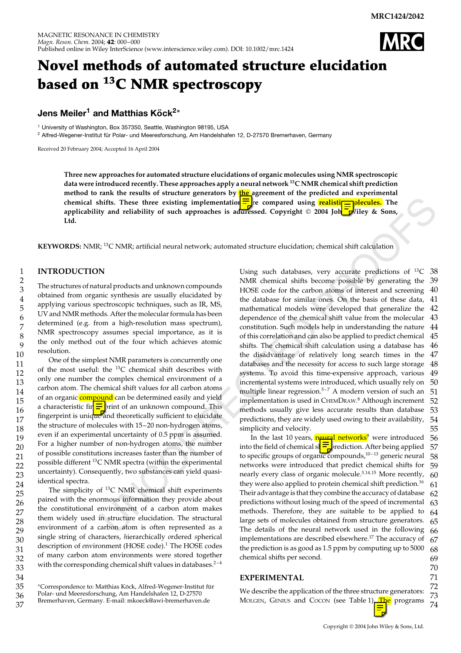

# **Novel methods of automated structure elucidation based on 13C NMR spectroscopy**

## **Jens Meiler<sup>1</sup> and Matthias Köck<sup>2</sup><sup>∗</sup>**

<sup>1</sup> University of Washington, Box 357350, Seattle, Washington 98195, USA

 $2$  Alfred-Wegener-Institut für Polar- und Meeresforschung, Am Handelshafen 12, D-27570 Bremerhaven, Germany

Received 20 February 2004; Accepted 16 April 2004

**Three new approaches for automated structure elucidations of organic molecules using NMR spectroscopic data were introduced recently. These approaches apply a neural network 13C NMR chemical shift prediction method to rank the results of structure generators by the agreement of the predicted and experimental** chemical shifts. These three existing implementation<mark>=]</mark>re compared using <mark>realistir=n</mark>olecules. The **applicability and reliability of such approaches is aduressed. Copyright © 2004 Joh** $\Box$ **liley & Sons, Ltd.**

**KEYWORDS:** NMR; 13C NMR; artificial neural network; automated structure elucidation; chemical shift calculation

#### **INTRODUCTION**

The structures of natural products and unknown compounds obtained from organic synthesis are usually elucidated by applying various spectroscopic techniques, such as IR, MS, UV and NMR methods. After the molecular formula has been determined (e.g. from a high-resolution mass spectrum), NMR spectroscopy assumes special importance, as it is the only method out of the four which achieves atomic resolution.

One of the simplest NMR parameters is concurrently one of the most useful: the 13C chemical shift describes with only one number the complex chemical environment of a carbon atom. The chemical shift values for all carbon atoms of an organic compound can be determined easily and yield a characteristic fin **=** print of an unknown compound. This fingerprint is unique and theoretically sufficient to elucidate the structure of molecules with 15–20 non-hydrogen atoms, even if an experimental uncertainty of 0.5 ppm is assumed. For a higher number of non-hydrogen atoms, the number of possible constitutions increases faster than the number of possible different 13C NMR spectra (within the experimental uncertainty). Consequently, two substances can yield quasiidentical spectra.

The simplicity of  $^{13}$ C NMR chemical shift experiments paired with the enormous information they provide about the constitutional environment of a carbon atom makes them widely used in structure elucidation. The structural environment of a carbon atom is often represented as a single string of characters, *h*ierarchically *o*rdered *s*pherical description of *e*nvironment (HOSE code).<sup>1</sup> The HOSE codes of many carbon atom environments were stored together with the corresponding chemical shift values in databases. $2-4$ 

\*Correspondence to: Matthias Köck, Alfred-Wegener-Institut für Polar- und Meeresforschung, Am Handelshafen 12, D-27570 Bremerhaven, Germany. E-mail: mkoeck@awi-bremerhaven.de

hifts. These three eststing implementation  $\frac{1}{2}$  compared using **kealistic** Tubecules. The yand reliability of such approaches is addressed. Copyright  $\theta$  2004 John  $\frac{1}{2}$  and  $\theta$  is a such a compared with  $\theta$  i Using such databases, very accurate predictions of  $^{13}C$  38 NMR chemical shifts become possible by generating the 39 40 41 42 43 dependence of the chemical shift value from the molecular 44 45 46 47 48 49 50 51 52 53 54 55 HOSE code for the carbon atoms of interest and screening the database for similar ones. On the basis of these data, mathematical models were developed that generalize the constitution. Such models help in understanding the nature of this correlation and can also be applied to predict chemical shifts. The chemical shift calculation using a database has the disadvantage of relatively long search times in the databases and the necessity for access to such large storage systems. To avoid this time-expensive approach, various incremental systems were introduced, which usually rely on multiple linear regression.<sup>5-7</sup> A modern version of such an implementation is used in CHEMDRAW. <sup>8</sup> Although increment methods usually give less accurate results than database predictions, they are widely used owing to their availability, simplicity and velocity.

56 57 58 59 60 61 62 63 64 65 66 67 68 69 In the last 10 years, neural networks<sup>9</sup> were introduced into the field of chemical sl<sup>1</sup>  $\frac{1}{2}$ rediction. After being applied to specific groups of organic compounds, $10-13$  generic neural networks were introduced that predict chemical shifts for nearly every class of organic molecule.<sup>3,14,15</sup> More recently, they were also applied to protein chemical shift prediction.<sup>16</sup> Their advantage is that they combine the accuracy of database predictions without losing much of the speed of incremental methods. Therefore, they are suitable to be applied to large sets of molecules obtained from structure generators. The details of the neural network used in the following implementations are described elsewhere.<sup>17</sup> The accuracy of the prediction is as good as 1.5 ppm by computing up to 5000 chemical shifts per second.

## **EXPERIMENTAL**

72 73 74 We describe the application of the three structure generators: MOLGEN, GENIUS and COCON (see Table 1)<sup>The</sup> programs

## 3 4 5 6 7 8 9 10 11 12 13 14 15 16 17 18 19 20 21 22 23 24 25 26 27 28 29 30 31 32 33 34 35 36 37

1 2

70 71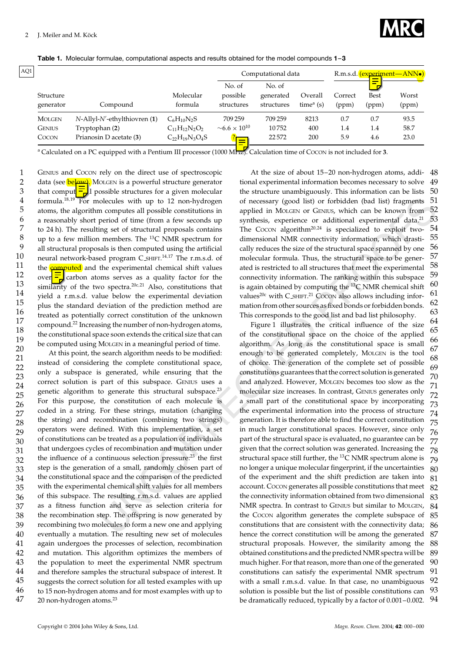

**Table 1.** Molecular formulae, computational aspects and results obtained for the model compounds **1**–**3**

| AQ1 |                        |                                     |                       |                                  | Computational data                |                       |                  | R.m.s.d. (experiment—ANN.)<br>$\overline{\phantom{a}}$ |                |  |
|-----|------------------------|-------------------------------------|-----------------------|----------------------------------|-----------------------------------|-----------------------|------------------|--------------------------------------------------------|----------------|--|
|     | Structure<br>generator | Compound                            | Molecular<br>formula  | No. of<br>possible<br>structures | No. of<br>generated<br>structures | Overall<br>time $(a)$ | Correct<br>(ppm) | -<br><b>Best</b><br>(ppm)                              | Worst<br>(ppm) |  |
|     | <b>MOLGEN</b>          | $N$ -Allyl- $N'$ -ethylthiovren (1) | $C_6H_{10}N_2S$       | 709 259                          | 709 259                           | 8213                  | 0.7              | 0.7                                                    | 93.5           |  |
|     | <b>GENIUS</b>          | Tryptophan (2)                      | $C_{11}H_{12}N_2O_2$  | $\sim 6.6 \times 10^{10}$        | 10752                             | 400                   | 1.4              | 1.4                                                    | 58.7           |  |
|     | COCON                  | Prianosin D acetate (3)             | $C_{22}H_{19}N_3O_4S$ | -                                | 22572                             | 200                   | 5.9              | 4.6                                                    | 23.0           |  |

<sup>a</sup> Calculated on a PC equipped with a Pentium III processor (1000 MHz). Calculation time of COCON is not included for **3**.

GENIUS and COCON rely on the direct use of spectroscopic data (see <mark>belمعد).</mark> Molgen is a powerful structure generator that comput  $\frac{1}{\sqrt{2}}$  possible structures for a given molecular formula.<sup>18,19</sup> For molecules with up to 12 non-hydrogen atoms, the algorithm computes all possible constitutions in a reasonably short period of time (from a few seconds up to 24 h). The resulting set of structural proposals contains up to a few million members. The  $^{13}$ C NMR spectrum for all structural proposals is then computed using the artificial neural network-based program C\_sHIFT.<sup>14,17</sup> The r.m.s.d. of the **computed** and the experimental chemical shift values over  $\frac{d}{dx}$  carbon atoms serves as a quality factor for the similarity of the two spectra.<sup>20c,21</sup> Also, constitutions that yield a r.m.s.d. value below the experimental deviation plus the standard deviation of the prediction method are treated as potentially correct constitution of the unknown compound.22 Increasing the number of non-hydrogen atoms, the constitutional space soon extends the critical size that can be computed using MOLGEN in a meaningful period of time.

20 21 22 23 24 25 26 27 28 29 30 31 32 33 34 35 36 37 38 39 40 41 42 43 44 45 46 47 At this point, the search algorithm needs to be modified: instead of considering the complete constitutional space, only a subspace is generated, while ensuring that the correct solution is part of this subspace. GENIUS uses a genetic algorithm to generate this structural subspace.<sup>23</sup> For this purpose, the constitution of each molecule is coded in a string. For these strings, mutation (changing the string) and recombination (combining two strings) operators were defined. With this implementation, a set of constitutions can be treated as a population of individuals that undergoes cycles of recombination and mutation under the influence of a continuous selection pressure: $^{23}$  the first step is the generation of a small, randomly chosen part of the constitutional space and the comparison of the predicted with the experimental chemical shift values for all members of this subspace. The resulting r.m.s.d. values are applied as a fitness function and serve as selection criteria for the recombination step. The offspring is now generated by recombining two molecules to form a new one and applying eventually a mutation. The resulting new set of molecules again undergoes the processes of selection, recombination and mutation. This algorithm optimizes the members of the population to meet the experimental NMR spectrum and therefore samples the structural subspace of interest. It suggests the correct solution for all tested examples with up to 15 non-hydrogen atoms and for most examples with up to 20 non-hydrogen atoms.<sup>23</sup>

48 49 50 51 52 53 54 55 56 57 58 59 60 61 62 63 At the size of about 15–20 non-hydrogen atoms, additional experimental information becomes necessary to solve the structure unambiguously. This information can be lists of necessary (good list) or forbidden (bad list) fragments applied in MOLGEN or GENIUS, which can be known from synthesis, experience or additional experimental data.<sup>21</sup> The COCON algorithm<sup>20,24</sup> is specialized to exploit twodimensional NMR connectivity information, which drastically reduces the size of the structural space spanned by one molecular formula. Thus, the structural space to be generated is restricted to all structures that meet the experimental connectivity information. The ranking within this subspace is again obtained by computing the  ${}^{13}C$  NMR chemical shift values<sup>20c</sup> with  $C$  SHIFT.<sup>21</sup> Cocon also allows including information from other sources as fixed bonds or forbidden bonds. This corresponds to the good list and bad list philosophy.

slockates with up to 12 con-hydrogen of recessary (goal link) or forbulach (solicition of the materials of results and results are results as a special of the constraints and the material data.<sup>23</sup> Systems or a compute sa 64 65 66 67 68 69 70 71 72 73 74 75 76 77 78 79 80 81 82 83 84 85 86 87 88 89 90 91 92 93 94 Figure 1 illustrates the critical influence of the size of the constitutional space on the choice of the applied algorithm. As long as the constitutional space is small enough to be generated completely, MOLGEN is the tool of choice. The generation of the complete set of possible constitutions guarantees that the correct solution is generated and analyzed. However, MOLGEN becomes too slow as the molecular size increases. In contrast, GENIUS generates only a small part of the constitutional space by incorporating the experimental information into the process of structure generation. It is therefore able to find the correct constitution in much larger constitutional spaces. However, since only part of the structural space is evaluated, no guarantee can be given that the correct solution was generated. Increasing the structural space still further, the  $^{13}$ C NMR spectrum alone is no longer a unique molecular fingerprint, if the uncertainties of the experiment and the shift prediction are taken into account. COCON generates all possible constitutions that meet the connectivity information obtained from two dimensional NMR spectra. In contrast to GENIUS but similar to MOLGEN, the COCON algorithm generates the complete subspace of constitutions that are consistent with the connectivity data; hence the correct constitution will be among the generated structural proposals. However, the similarity among the obtained constitutions and the predicted NMR spectra will be much higher. For that reason, more than one of the generated constitutions can satisfy the experimental NMR spectrum with a small r.m.s.d. value. In that case, no unambiguous solution is possible but the list of possible constitutions can be dramatically reduced, typically by a factor of 0.001–0.002.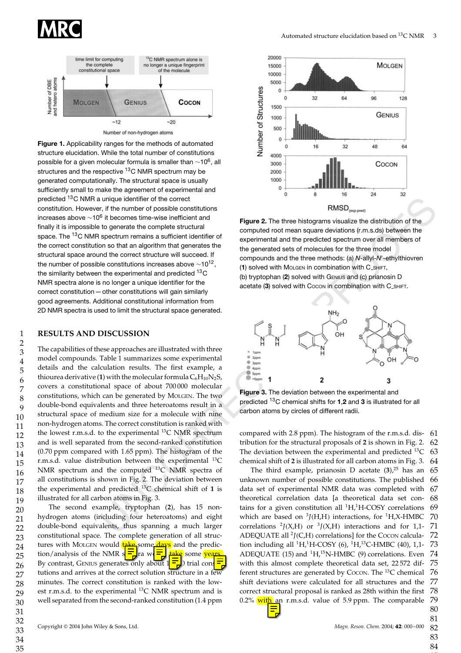



**Figure 1.** Applicability ranges for the methods of automated structure elucidation. While the total number of constitutions possible for a given molecular formula is smaller than  $\sim$ 10<sup>6</sup>, all structures and the respective <sup>13</sup>C NMR spectrum may be generated computationally. The structural space is usually sufficiently small to make the agreement of experimental and predicted 13C NMR a unique identifier of the correct constitution. However, if the number of possible constitutions increases above  $\sim$ 10<sup>6</sup> it becomes time-wise inefficient and finally it is impossible to generate the complete structural space. The 13C NMR spectrum remains a sufficient identifier of the correct constitution so that an algorithm that generates the structural space around the correct structure will succeed. If the number of possible constitutions increases above  $\sim$ 10<sup>12</sup>, the similarity between the experimental and predicted <sup>13</sup>C NMR spectra alone is no longer a unique identifier for the correct constitution—other constitutions will gain similarly good agreements. Additional constitutional information from 2D NMR spectra is used to limit the structural space generated.

## **RESULTS AND DISCUSSION**

unique identifier of the correct constitution is a relation of the two indices in the section of the matter of the content with a more in the matter of the content of the content of the properties of the spectrum over all The capabilities of these approaches are illustrated with three model compounds. Table 1 summarizes some experimental details and the calculation results. The first example, a thiourea derivative (1) with the molecular formula  $C_6H_{10}N_2S$ , covers a constitutional space of about 700 000 molecular constitutions, which can be generated by MOLGEN. The two double-bond equivalents and three heteroatoms result in a structural space of medium size for a molecule with nine non-hydrogen atoms. The correct constitution is ranked with the lowest r.m.s.d. to the experimental  $^{13}C$  NMR spectrum and is well separated from the second-ranked constitution (0.70 ppm compared with 1.65 ppm). The histogram of the r.m.s.d. value distribution between the experimental  $^{13}$ C NMR spectrum and the computed 13C NMR spectra of all constitutions is shown in Fig. 2. The deviation between the experimental and predicted 13C chemical shift of **1** is illustrated for all carbon atoms in Fig. 3.

The second example, tryptophan (**2**), has 15 nonhydrogen atoms (including four heteroatoms) and eight double-bond equivalents, thus spanning a much larger constitutional space. The complete generation of all structures with MOLGEN would take some days and the prediction/analysis of the NMR  $s = \frac{1}{\sqrt{2}}$  and  $s = \frac{1}{\sqrt{2}}$  some vears tion/analysis of the NMR  $s = \frac{1}{\sqrt{2}}$  ra w $\frac{1}{\sqrt{2}}$  some vears. By contrast, GENIUS generates only about  $1\frac{1}{5}$ ) trial cons tutions and arrives at the correct solution structure in a few minutes. The correct constitution is ranked with the lowest r.m.s.d. to the experimental 13C NMR spectrum and is well separated from the second-ranked constitution (1.4 ppm



**Figure 2.** The three histograms visualize the distribution of the computed root mean square deviations (r.m.s.ds) between the experimental and the predicted spectrum over all members of the generated sets of molecules for the three model compounds and the three methods: (a) N-allyl-N'-ethylthiovren (**1**) solved with MOLGEN in combination with C SHIFT, (b) tryptophan (**2**) solved with GENIUS and (c) prianosin D acetate (3) solved with Cocon in combination with C<sub>-SHIFT</sub>.



**Figure 3.** The deviation between the experimental and predicted 13C chemical shifts for **1**,**2** and **3** is illustrated for all carbon atoms by circles of different radii.

61 62 63 64 compared with 2.8 ppm). The histogram of the r.m.s.d. distribution for the structural proposals of **2** is shown in Fig. 2. The deviation between the experimental and predicted  $^{13}C$ chemical shift of **2** is illustrated for all carbon atoms in Fig. 3.

65 66 67 68 69 70 71 72 73 74 75 76 77 78 79 80 The third example, prianosin D acetate  $(3)$ ,<sup>25</sup> has an unknown number of possible constitutions. The published data set of experimental NMR data was completed with theoretical correlation data [a theoretical data set contains for a given constitution all  ${}^{1}H,{}^{1}H$ -COSY correlations which are based on <sup>3</sup>*J*(H,H) interactions, for <sup>1</sup>H,X-HMBC correlations  $\frac{2J(X,H)}{T}$  or  $\frac{3J(X,H)}{T}$  interactions and for 1,1-ADEQUATE all  ${}^{2}$ *J*(C,H) correlations] for the Cocon calculation including all  ${}^{1}H, {}^{1}H$ -COSY (6),  ${}^{1}H, {}^{13}C$ -HMBC (40), 1,1-ADEQUATE (15) and  ${}^{1}H,{}^{15}N$ -HMBC (9) correlations. Even with this almost complete theoretical data set, 22 572 different structures are generated by COCON. The  $^{13}$ C chemical shift deviations were calculated for all structures and the correct structural proposal is ranked as 28th within the first 0.2% with an r.m.s.d. value of 5.9 ppm. The comparable

83 84

85

81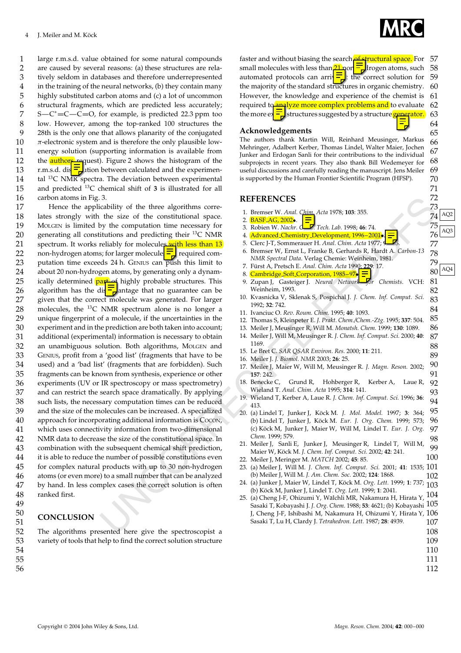1 2 3 4 5 6 7 8 9 10 11 12 13 14 15 16 large r.m.s.d. value obtained for some natural compounds are caused by several reasons: (a) these structures are relatively seldom in databases and therefore underrepresented in the training of the neural networks, (b) they contain many highly substituted carbon atoms and (c) a lot of uncommon structural fragments, which are predicted less accurately;  $S-C^*$  = C — C = O, for example, is predicted 22.3 ppm too low. However, among the top-ranked 100 structures the 28th is the only one that allows planarity of the conjugated  $\pi$ -electronic system and is therefore the only plausible lowenergy solution (supporting information is available from the  $\frac{1}{2}$  authors request). Figure 2 shows the histogram of the r.m.s.d. dis  $\frac{1}{\sqrt{2}}$  tion between calculated and the experimental  $^{13}$ C NM $\overline{K}$  spectra. The deviation between experimental and predicted 13C chemical shift of **3** is illustrated for all carbon atoms in Fig. 3.

3. The size of the tensor is consistent of the space of the consistent of the space of the consistent of the space of the consistent of the space of the consistent of the space of the consistent of the space of the consis 17 18 19 20 21  $22$ 23 24 25 26 27 28 29 30 31 32 33 34 35 36 37 38 39 40 41 42 43 44 45 46 47 48 49 Hence the applicability of the three algorithms correlates strongly with the size of the constitutional space. MOLGEN is limited by the computation time necessary for generating all constitutions and predicting their  $^{13}$ C NMR spectrum. It works reliably for molecules with less than 13 non-hydrogen atoms; for larger molecule  $\frac{1}{\epsilon}$  required computation time exceeds 24 h. GENIUS can push this limit to about 20 non-hydrogen atoms, by generating only a dynamically determined part of highly probable structures. This algorithm has the dis  $\overline{\phantom{a}}$  antage that no guarantee can be given that the correct molecule was generated. For larger molecules, the 13C NMR spectrum alone is no longer a unique fingerprint of a molecule, if the uncertainties in the experiment and in the prediction are both taken into account; additional (experimental) information is necessary to obtain an unambiguous solution. Both algorithms, MOLGEN and GENIUS, profit from a 'good list' (fragments that have to be used) and a 'bad list' (fragments that are forbidden). Such fragments can be known from synthesis, experience or other experiments (UV or IR spectroscopy or mass spectrometry) and can restrict the search space dramatically. By applying such lists, the necessary computation times can be reduced and the size of the molecules can be increased. A specialized approach for incorporating additional information is COCON, which uses connectivity information from two-dimensional NMR data to decrease the size of the constitutional space. In combination with the subsequent chemical shift prediction, it is able to reduce the number of possible constitutions even for complex natural products with up to 30 non-hydrogen atoms (or even more) to a small number that can be analyzed by hand. In less complex cases the correct solution is often ranked first.

## **CONCLUSION**

The algorithms presented here give the spectroscopist a variety of tools that help to find the correct solution structure



64 65

89

57 58 59 60 61 62 63 faster and without biasing the search **of structural space**. For small molecules with less than  $2\frac{1}{2}$  none atoms, such automated protocols can arrive  $\frac{1}{\sqrt{2}}$  the correct solution for the majority of the standard structures in organic chemistry. However, the knowledge and experience of the chemist is required to analyze more complex problems and to evaluate the more  $e^{\frac{1}{2}}$  structures suggested by a structure generator.

#### **Acknowledgements**

66 67 68 69 70 The authors thank Martin Will, Reinhard Meusinger, Markus Mehringer, Adalbert Kerber, Thomas Lindel, Walter Maier, Jochen Junker and Erdogan Sanli for their contributions to the individual subprojects in recent years. They also thank Bill Wedemeyer for useful discussions and carefully reading the manuscript. Jens Meiler is supported by the Human Frontier Scientific Program (HFSP).

#### **REFERENCES**

- 1. Bremser W. *Anal. Chim. Acta* 1978; **103**: 355.<br>2. **BASF AG, 2002**. **All Aquates 103**: 355.
- 
- 3. Robien W. *Nachr.* C**h.** Tech. Lab. 1998; 46: 74.
- 3. Robien W. Nuchr. Contract Latel 1996, 46: 74.<br>4. Advanced Chemistry Development, 1996–2001 $\sqrt{5}$ .  $76 \over 76$
- 5. Clerc J-T, Sommerauer H. *Anal. Chim. Acta* 1977; **95**: 33.
- 6. Bremser W, Ernst L, Franke B, Gerhards R, Hardt A. *Carbon-13 NMR Spectral Data*. Verlag Chemie: Weinheim, 1981.
- 7. Fürst A, Pretsch E. Anal. Chim. Acta 1990; 229: 17.
- 7. Furst A, Pretsch E. *Anal. Chim. Acta* 1990: 229: 17.<br>8. Cambridge Soft Corporation, 1985–97 $\frac{1}{2}$
- Zupan J, Gasteiger J. *Neural Network* For Chemists. VCH: Weinheim, 1993.
- 83 84 10. Kvasnicka V, Sklenak S, Pospichal J. *J. Chem. Inf. Comput. Sci.* 1992; **32**: 742.
- 11. Ivanciuc O. *Rev. Roum. Chim.* 1995; **40**: 1093.
- 85 86 12. Thomas S, Kleinpeter E. *J. Prakt. Chem./Chem.-Ztg.* 1995; **337**: 504.
- 13. Meiler J, Meusinger R, Will M. *Monatsh. Chem.* 1999; **130**: 1089.
- 87 88 14. Meiler J, Will M, Meusinger R. *J. Chem. Inf. Comput. Sci.* 2000; **40**: 1169.
- 15. Le Bret C. *SAR QSAR Environ. Res.* 2000; **11**: 211.
- 16. Meiler J. *J. Biomol. NMR* 2003; **26**: 25.
- 90 91 17. Meiler J, Maier W, Will M, Meusinger R. *J. Magn. Reson.* 2002; **157**: 242.
- 92 93 18. Benecke C, Grund R, Hohberger R, Kerber A, Laue R, Wieland T. *Anal. Chim. Acta* 1995; **314**: 141.
- 94 19. Wieland T, Kerber A, Laue R. *J. Chem. Inf. Comput. Sci.* 1996; **36**: 413.
- 95 96 97 98 20. (a) Lindel T, Junker J, Köck M. J. Mol. Model. 1997; 3: 364; (b) Lindel T, Junker J, Köck M. Eur. J. Org. Chem. 1999; 573; (c) Köck M, Junker J, Maier W, Will M, Lindel T. Eur. J. Org. *Chem.* 1999; 579.
- 99 100 21. Meiler J, Sanli E, Junker J, Meusinger R, Lindel T, Will M, Maier W, Köck M. J. Chem. Inf. Comput. Sci. 2002; 42: 241.
- 101 23. (a) Meiler J, Will M. *J. Chem. Inf. Comput. Sci.* 2001; **41**: 1535; 22. Meiler J, Meringer M. *MATCH* 2002; **45**: 85. (b) Meiler J, Will M. *J. Am. Chem. Soc.* 2002; **124**: 1868.
- 102 24. (a) Junker J, Maier W, Lindel T, Köck M. *Org. Lett.* 1999; 1: 737; <sub>103</sub><br>(b) Kärk M. Junker J, Jin del T, *Org. Lett.* 1999; 1: 2041 (b) Köck M, Junker J, Lindel T. Org. Lett. 1999; 1: 2041.
- 104 105 Sasaki T, Kobayashi J. *J. Org. Chem.* 1988; **53**: 4621; (b) Kobayashi J, Cheng J-F, Ishibashi M, Nakamura H, Ohizumi Y, Hirata Y,  $106\,$ 107 25. (a) Cheng J-F, Ohizumi Y, Walchli MR, Nakamura H, Hirata Y, ¨ Sasaki T, Lu H, Clardy J. *Tetrahedron. Lett.* 1987; **28**: 4939.
	- 108
	- 109
	- 110
	- 111 112
- Copyright 2004 John Wiley & Sons, Ltd. *Magn. Reson. Chem.* 2004; **42**: 000–000